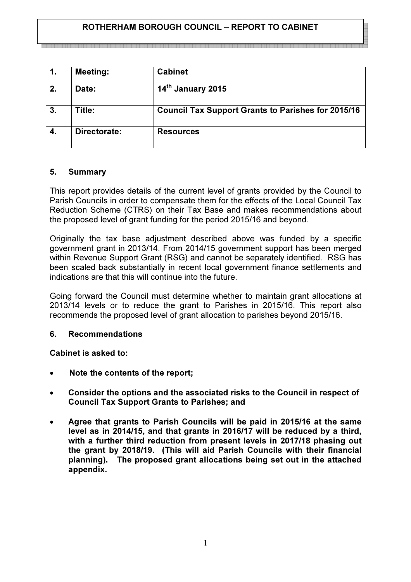# ROTHERHAM BOROUGH COUNCIL – REPORT TO CABINET

a a maa ahaan sanaan sanaan sanaan sanaan inta ahaan in ahaan ahaan ahaan ahaan ahaan ahaan maraan ahaan ahaan

| 1. | <b>Meeting:</b> | <b>Cabinet</b>                                            |
|----|-----------------|-----------------------------------------------------------|
| 2. | Date:           | 14th January 2015                                         |
| 3. | Title:          | <b>Council Tax Support Grants to Parishes for 2015/16</b> |
|    | Directorate:    | <b>Resources</b>                                          |

# 5. Summary

This report provides details of the current level of grants provided by the Council to Parish Councils in order to compensate them for the effects of the Local Council Tax Reduction Scheme (CTRS) on their Tax Base and makes recommendations about the proposed level of grant funding for the period 2015/16 and beyond.

Originally the tax base adjustment described above was funded by a specific government grant in 2013/14. From 2014/15 government support has been merged within Revenue Support Grant (RSG) and cannot be separately identified. RSG has been scaled back substantially in recent local government finance settlements and indications are that this will continue into the future.

Going forward the Council must determine whether to maintain grant allocations at 2013/14 levels or to reduce the grant to Parishes in 2015/16. This report also recommends the proposed level of grant allocation to parishes beyond 2015/16.

# 6. Recommendations

Cabinet is asked to:

- Note the contents of the report;
- Consider the options and the associated risks to the Council in respect of Council Tax Support Grants to Parishes; and
- Agree that grants to Parish Councils will be paid in 2015/16 at the same level as in 2014/15, and that grants in 2016/17 will be reduced by a third, with a further third reduction from present levels in 2017/18 phasing out the grant by 2018/19. (This will aid Parish Councils with their financial planning). The proposed grant allocations being set out in the attached appendix.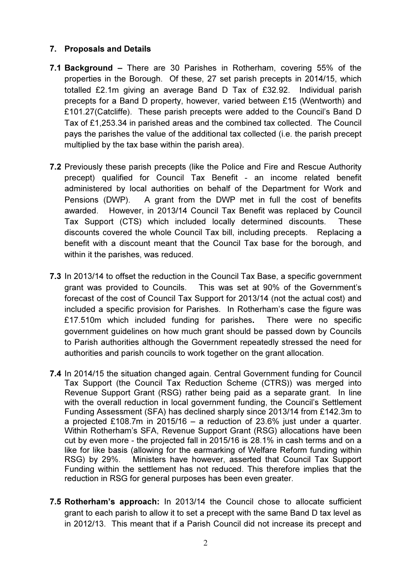# 7. Proposals and Details

- 7.1 Background There are 30 Parishes in Rotherham, covering 55% of the properties in the Borough. Of these, 27 set parish precepts in 2014/15, which totalled £2.1m giving an average Band D Tax of £32.92. Individual parish precepts for a Band D property, however, varied between £15 (Wentworth) and £101.27(Catcliffe). These parish precepts were added to the Council's Band D Tax of £1,253.34 in parished areas and the combined tax collected. The Council pays the parishes the value of the additional tax collected (i.e. the parish precept multiplied by the tax base within the parish area).
- 7.2 Previously these parish precepts (like the Police and Fire and Rescue Authority precept) qualified for Council Tax Benefit - an income related benefit administered by local authorities on behalf of the Department for Work and Pensions (DWP). A grant from the DWP met in full the cost of benefits awarded. However, in 2013/14 Council Tax Benefit was replaced by Council Tax Support (CTS) which included locally determined discounts. These discounts covered the whole Council Tax bill, including precepts. Replacing a benefit with a discount meant that the Council Tax base for the borough, and within it the parishes, was reduced.
- 7.3 In 2013/14 to offset the reduction in the Council Tax Base, a specific government grant was provided to Councils. This was set at 90% of the Government's forecast of the cost of Council Tax Support for 2013/14 (not the actual cost) and included a specific provision for Parishes. In Rotherham's case the figure was £17.510m which included funding for parishes. There were no specific government guidelines on how much grant should be passed down by Councils to Parish authorities although the Government repeatedly stressed the need for authorities and parish councils to work together on the grant allocation.
- 7.4 In 2014/15 the situation changed again. Central Government funding for Council Tax Support (the Council Tax Reduction Scheme (CTRS)) was merged into Revenue Support Grant (RSG) rather being paid as a separate grant. In line with the overall reduction in local government funding, the Council's Settlement Funding Assessment (SFA) has declined sharply since 2013/14 from £142.3m to a projected £108.7m in 2015/16 – a reduction of 23.6% just under a quarter. Within Rotherham's SFA, Revenue Support Grant (RSG) allocations have been cut by even more - the projected fall in 2015/16 is 28.1% in cash terms and on a like for like basis (allowing for the earmarking of Welfare Reform funding within RSG) by 29%. Ministers have however, asserted that Council Tax Support Funding within the settlement has not reduced. This therefore implies that the reduction in RSG for general purposes has been even greater.
- 7.5 Rotherham's approach: In 2013/14 the Council chose to allocate sufficient grant to each parish to allow it to set a precept with the same Band D tax level as in 2012/13. This meant that if a Parish Council did not increase its precept and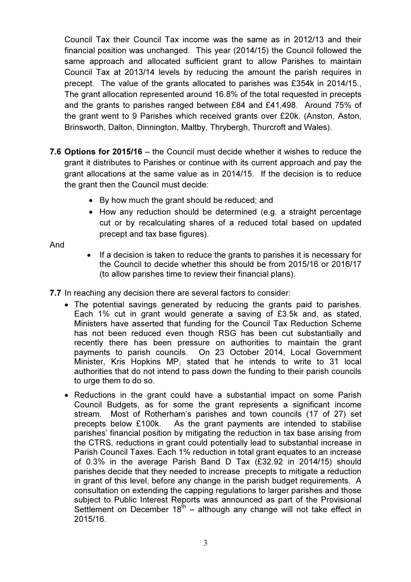Council Tax their Council Tax income was the same as in 2012/13 and their financial position was unchanged. This year (2014/15) the Council followed the same approach and allocated sufficient grant to allow Parishes to maintain Council Tax at 2013/14 levels by reducing the amount the parish requires in precept. The value of the grants allocated to parishes was £354k in 2014/15., The grant allocation represented around 16.8% of the total requested in precepts and the grants to parishes ranged between £84 and £41,498. Around 75% of the grant went to 9 Parishes which received grants over £20k. (Anston, Aston, Brinsworth, Dalton, Dinnington, Maltby, Thrybergh, Thurcroft and Wales).

- 7.6 Options for 2015/16 the Council must decide whether it wishes to reduce the grant it distributes to Parishes or continue with its current approach and pay the grant allocations at the same value as in 2014/15. If the decision is to reduce the grant then the Council must decide:
	- By how much the grant should be reduced; and
	- How any reduction should be determined (e.g. a straight percentage cut or by recalculating shares of a reduced total based on updated precept and tax base figures).

And

• If a decision is taken to reduce the grants to parishes it is necessary for the Council to decide whether this should be from 2015/16 or 2016/17 (to allow parishes time to review their financial plans).

7.7 In reaching any decision there are several factors to consider:

- The potential savings generated by reducing the grants paid to parishes. Each 1% cut in grant would generate a saving of £3.5k and, as stated, Ministers have asserted that funding for the Council Tax Reduction Scheme has not been reduced even though RSG has been cut substantially and recently there has been pressure on authorities to maintain the grant payments to parish councils. On 23 October 2014, Local Government Minister, Kris Hopkins MP, stated that he intends to write to 31 local authorities that do not intend to pass down the funding to their parish councils to urge them to do so.
- Reductions in the grant could have a substantial impact on some Parish Council Budgets, as for some the grant represents a significant income stream. Most of Rotherham's parishes and town councils (17 of 27) set precepts below £100k. As the grant payments are intended to stabilise parishes' financial position by mitigating the reduction in tax base arising from the CTRS, reductions in grant could potentially lead to substantial increase in Parish Council Taxes. Each 1% reduction in total grant equates to an increase of 0.3% in the average Parish Band D Tax (£32.92 in 2014/15) should parishes decide that they needed to increase precepts to mitigate a reduction in grant of this level, before any change in the parish budget requirements. A consultation on extending the capping regulations to larger parishes and those subject to Public Interest Reports was announced as part of the Provisional Settlement on December  $18^{th}$  – although any change will not take effect in 2015/16.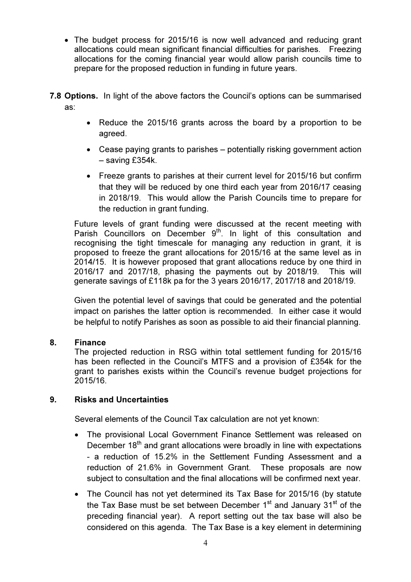- The budget process for 2015/16 is now well advanced and reducing grant allocations could mean significant financial difficulties for parishes. Freezing allocations for the coming financial year would allow parish councils time to prepare for the proposed reduction in funding in future years.
- 7.8 Options. In light of the above factors the Council's options can be summarised as:
	- Reduce the 2015/16 grants across the board by a proportion to be agreed.
	- Cease paying grants to parishes potentially risking government action – saving £354k.
	- Freeze grants to parishes at their current level for 2015/16 but confirm that they will be reduced by one third each year from 2016/17 ceasing in 2018/19. This would allow the Parish Councils time to prepare for the reduction in grant funding.

 Future levels of grant funding were discussed at the recent meeting with Parish Councillors on December  $9<sup>th</sup>$ . In light of this consultation and recognising the tight timescale for managing any reduction in grant, it is proposed to freeze the grant allocations for 2015/16 at the same level as in 2014/15. It is however proposed that grant allocations reduce by one third in 2016/17 and 2017/18, phasing the payments out by 2018/19. This will generate savings of £118k pa for the 3 years 2016/17, 2017/18 and 2018/19.

Given the potential level of savings that could be generated and the potential impact on parishes the latter option is recommended. In either case it would be helpful to notify Parishes as soon as possible to aid their financial planning.

#### 8. Finance

The projected reduction in RSG within total settlement funding for 2015/16 has been reflected in the Council's MTFS and a provision of £354k for the grant to parishes exists within the Council's revenue budget projections for 2015/16.

#### 9. Risks and Uncertainties

Several elements of the Council Tax calculation are not yet known:

- The provisional Local Government Finance Settlement was released on December 18<sup>th</sup> and grant allocations were broadly in line with expectations - a reduction of 15.2% in the Settlement Funding Assessment and a reduction of 21.6% in Government Grant. These proposals are now subject to consultation and the final allocations will be confirmed next year.
- The Council has not yet determined its Tax Base for 2015/16 (by statute the Tax Base must be set between December  $1<sup>st</sup>$  and January  $31<sup>st</sup>$  of the preceding financial year). A report setting out the tax base will also be considered on this agenda. The Tax Base is a key element in determining